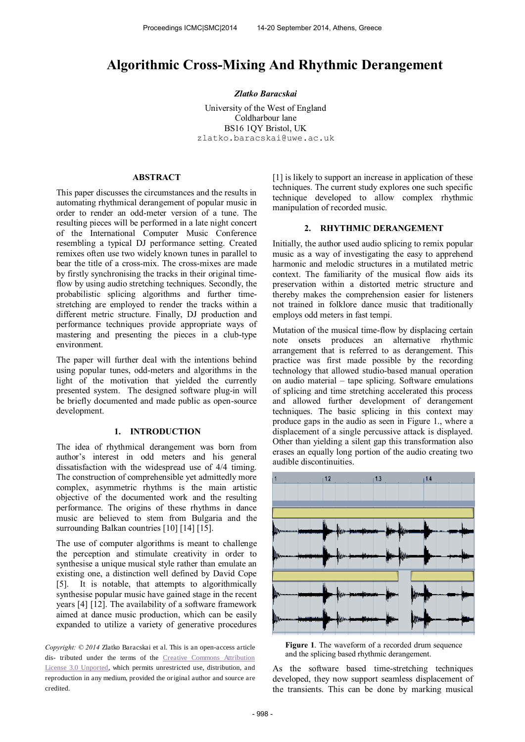# **Algorithmic Cross-Mixing And Rhythmic Derangement**

#### *Zlatko Baracskai*

University of the West of England Coldharbour lane BS16 1QY Bristol, UK zlatko.baracskai@uwe.ac.uk

## **ABSTRACT**

This paper discusses the circumstances and the results in automating rhythmical derangement of popular music in order to render an odd-meter version of a tune. The resulting pieces will be performed in a late night concert of the International Computer Music Conference resembling a typical DJ performance setting. Created remixes often use two widely known tunes in parallel to bear the title of a cross-mix. The cross-mixes are made by firstly synchronising the tracks in their original timeflow by using audio stretching techniques. Secondly, the probabilistic splicing algorithms and further timestretching are employed to render the tracks within a different metric structure. Finally, DJ production and performance techniques provide appropriate ways of mastering and presenting the pieces in a club-type environment.

The paper will further deal with the intentions behind using popular tunes, odd-meters and algorithms in the light of the motivation that yielded the currently presented system. The designed software plug-in will be briefly documented and made public as open-source development.

#### **1. INTRODUCTION**

The idea of rhythmical derangement was born from author's interest in odd meters and his general dissatisfaction with the widespread use of 4/4 timing. The construction of comprehensible yet admittedly more complex, asymmetric rhythms is the main artistic objective of the documented work and the resulting performance. The origins of these rhythms in dance music are believed to stem from Bulgaria and the surrounding Balkan countries [10] [14] [15].

The use of computer algorithms is meant to challenge the perception and stimulate creativity in order to synthesise a unique musical style rather than emulate an existing one, a distinction well defined by David Cope [5]. It is notable, that attempts to algorithmically synthesise popular music have gained stage in the recent years [4] [12]. The availability of a software framework aimed at dance music production, which can be easily expanded to utilize a variety of generative procedures

*Copyright: © 2014* Zlatko Baracskai et al. This is an open-access article dis- tributed under the terms of the [Creative Commons Attribution](http://creativecommons.org/licenses/by/3.0/)  [License 3.0 Unported,](http://creativecommons.org/licenses/by/3.0/) which permits unrestricted use, distribution, and reproduction in any medium, provided the original author and source are credited.

[1] is likely to support an increase in application of these techniques. The current study explores one such specific technique developed to allow complex rhythmic manipulation of recorded music.

## **2. RHYTHMIC DERANGEMENT**

Initially, the author used audio splicing to remix popular music as a way of investigating the easy to apprehend harmonic and melodic structures in a mutilated metric context. The familiarity of the musical flow aids its preservation within a distorted metric structure and thereby makes the comprehension easier for listeners not trained in folklore dance music that traditionally employs odd meters in fast tempi.

Mutation of the musical time-flow by displacing certain note onsets produces an alternative rhythmic arrangement that is referred to as derangement. This practice was first made possible by the recording technology that allowed studio-based manual operation on audio material – tape splicing. Software emulations of splicing and time stretching accelerated this process and allowed further development of derangement techniques. The basic splicing in this context may produce gaps in the audio as seen in Figure 1., where a displacement of a single percussive attack is displayed. Other than yielding a silent gap this transformation also erases an equally long portion of the audio creating two audible discontinuities.



**Figure 1**. The waveform of a recorded drum sequence and the splicing based rhythmic derangement.

As the software based time-stretching techniques developed, they now support seamless displacement of the transients. This can be done by marking musical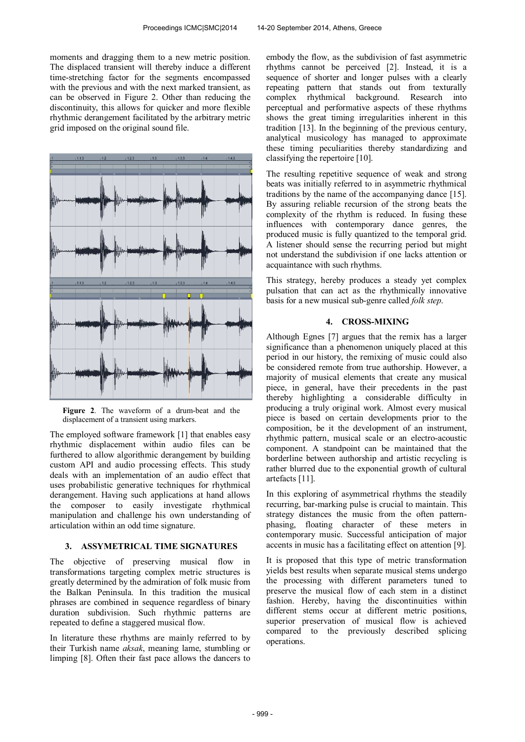moments and dragging them to a new metric position. The displaced transient will thereby induce a different time-stretching factor for the segments encompassed with the previous and with the next marked transient, as can be observed in Figure 2. Other than reducing the discontinuity, this allows for quicker and more flexible rhythmic derangement facilitated by the arbitrary metric grid imposed on the original sound file.



**Figure 2**. The waveform of a drum-beat and the displacement of a transient using markers.

The employed software framework [1] that enables easy rhythmic displacement within audio files can be furthered to allow algorithmic derangement by building custom API and audio processing effects. This study deals with an implementation of an audio effect that uses probabilistic generative techniques for rhythmical derangement. Having such applications at hand allows the composer to easily investigate rhythmical manipulation and challenge his own understanding of articulation within an odd time signature.

#### **3. ASSYMETRICAL TIME SIGNATURES**

The objective of preserving musical flow in transformations targeting complex metric structures is greatly determined by the admiration of folk music from the Balkan Peninsula. In this tradition the musical phrases are combined in sequence regardless of binary duration subdivision. Such rhythmic patterns are repeated to define a staggered musical flow.

In literature these rhythms are mainly referred to by their Turkish name *aksak*, meaning lame, stumbling or limping [8]. Often their fast pace allows the dancers to embody the flow, as the subdivision of fast asymmetric rhythms cannot be perceived [2]. Instead, it is a sequence of shorter and longer pulses with a clearly repeating pattern that stands out from texturally complex rhythmical background. Research into perceptual and performative aspects of these rhythms shows the great timing irregularities inherent in this tradition [13]. In the beginning of the previous century, analytical musicology has managed to approximate these timing peculiarities thereby standardizing and classifying the repertoire [10].

The resulting repetitive sequence of weak and strong beats was initially referred to in asymmetric rhythmical traditions by the name of the accompanying dance [15]. By assuring reliable recursion of the strong beats the complexity of the rhythm is reduced. In fusing these influences with contemporary dance genres, the produced music is fully quantized to the temporal grid. A listener should sense the recurring period but might not understand the subdivision if one lacks attention or acquaintance with such rhythms.

This strategy, hereby produces a steady yet complex pulsation that can act as the rhythmically innovative basis for a new musical sub-genre called *folk step*.

#### **4. CROSS-MIXING**

Although Egnes [7] argues that the remix has a larger significance than a phenomenon uniquely placed at this period in our history, the remixing of music could also be considered remote from true authorship. However, a majority of musical elements that create any musical piece, in general, have their precedents in the past thereby highlighting a considerable difficulty in producing a truly original work. Almost every musical piece is based on certain developments prior to the composition, be it the development of an instrument, rhythmic pattern, musical scale or an electro-acoustic component. A standpoint can be maintained that the borderline between authorship and artistic recycling is rather blurred due to the exponential growth of cultural artefacts [11].

In this exploring of asymmetrical rhythms the steadily recurring, bar-marking pulse is crucial to maintain. This strategy distances the music from the often patternphasing, floating character of these meters in contemporary music. Successful anticipation of major accents in music has a facilitating effect on attention [9].

It is proposed that this type of metric transformation yields best results when separate musical stems undergo the processing with different parameters tuned to preserve the musical flow of each stem in a distinct fashion. Hereby, having the discontinuities within different stems occur at different metric positions, superior preservation of musical flow is achieved compared to the previously described splicing operations.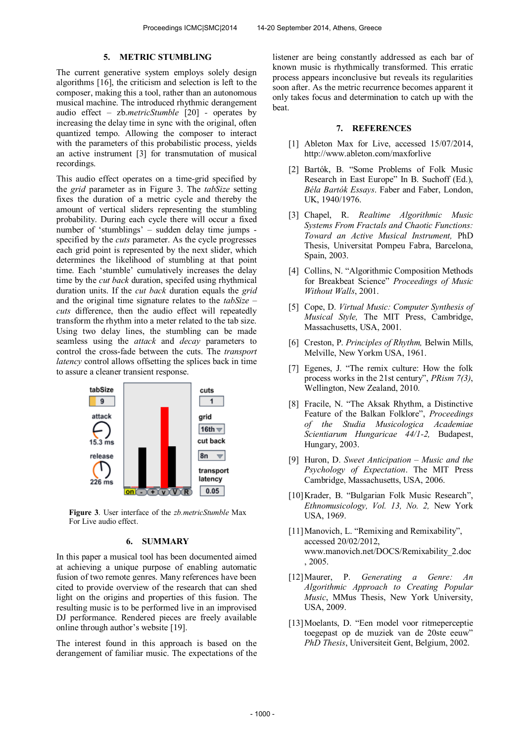#### **5. METRIC STUMBLING**

The current generative system employs solely design algorithms [16], the criticism and selection is left to the composer, making this a tool, rather than an autonomous musical machine. The introduced rhythmic derangement audio effect – zb.*metricStumble* [20] *-* operates by increasing the delay time in sync with the original, often quantized tempo. Allowing the composer to interact with the parameters of this probabilistic process, yields an active instrument [3] for transmutation of musical recordings.

This audio effect operates on a time-grid specified by the *grid* parameter as in Figure 3. The *tabSize* setting fixes the duration of a metric cycle and thereby the amount of vertical sliders representing the stumbling probability. During each cycle there will occur a fixed number of 'stumblings' – sudden delay time jumps specified by the *cuts* parameter. As the cycle progresses each grid point is represented by the next slider, which determines the likelihood of stumbling at that point time. Each 'stumble' cumulatively increases the delay time by the *cut back* duration, specifed using rhythmical duration units. If the *cut back* duration equals the *grid*  and the original time signature relates to the *tabSize – cuts* difference, then the audio effect will repeatedly transform the rhythm into a meter related to the tab size. Using two delay lines, the stumbling can be made seamless using the *attack* and *decay* parameters to control the cross-fade between the cuts. The *transport latency* control allows offsetting the splices back in time to assure a cleaner transient response.



**Figure 3**. User interface of the *zb.metricStumble* Max For Live audio effect.

## **6. SUMMARY**

In this paper a musical tool has been documented aimed at achieving a unique purpose of enabling automatic fusion of two remote genres. Many references have been cited to provide overview of the research that can shed light on the origins and properties of this fusion. The resulting music is to be performed live in an improvised DJ performance. Rendered pieces are freely available online through author's website [19].

The interest found in this approach is based on the derangement of familiar music. The expectations of the listener are being constantly addressed as each bar of known music is rhythmically transformed. This erratic process appears inconclusive but reveals its regularities soon after. As the metric recurrence becomes apparent it only takes focus and determination to catch up with the beat.

#### **7. REFERENCES**

- [1] Ableton Max for Live, accessed 15/07/2014, http://www.ableton.com/maxforlive
- [2] Bartók, B. "Some Problems of Folk Music Research in East Europe" In B. Suchoff (Ed.), *Béla Bartók Essays*. Faber and Faber, London, UK, 1940/1976.
- [3] Chapel, R. *Realtime Algorithmic Music Systems From Fractals and Chaotic Functions: Toward an Active Musical Instrument,* PhD Thesis, Universitat Pompeu Fabra, Barcelona, Spain, 2003.
- [4] Collins, N. "Algorithmic Composition Methods for Breakbeat Science" *Proceedings of Music Without Walls*, 2001.
- [5] Cope, D. *Virtual Music: Computer Synthesis of Musical Style,* The MIT Press, Cambridge, Massachusetts, USA, 2001.
- [6] Creston, P. *Principles of Rhythm,* Belwin Mills, Melville, New Yorkm USA, 1961.
- [7] Egenes, J. "The remix culture: How the folk process works in the 21st century", *PRism 7(3)*, Wellington, New Zealand, 2010.
- [8] Fracile, N. "The Aksak Rhythm, a Distinctive Feature of the Balkan Folklore", *Proceedings of the Studia Musicologica Academiae Scientiarum Hungaricae 44/1-2,* Budapest, Hungary, 2003.
- [9] Huron, D. *Sweet Anticipation – Music and the Psychology of Expectation*. The MIT Press Cambridge, Massachusetts, USA, 2006.
- [10]Krader, B. "Bulgarian Folk Music Research", *Ethnomusicology, Vol. 13, No. 2,* New York USA, 1969.
- [11] Manovich, L. "Remixing and Remixability", accessed 20/02/2012, www.manovich.net/DOCS/Remixability\_2.doc , 2005.
- [12]Maurer, P. *Generating a Genre: An Algorithmic Approach to Creating Popular Music*, MMus Thesis, New York University, USA, 2009.
- [13] Moelants, D. "Een model voor ritmeperceptie toegepast op de muziek van de 20ste eeuw" *PhD Thesis*, Universiteit Gent, Belgium, 2002.